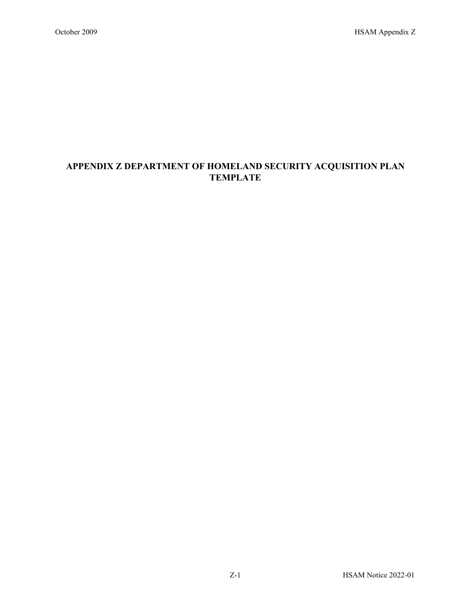# **APPENDIX Z DEPARTMENT OF HOMELAND SECURITY ACQUISITION PLAN TEMPLATE**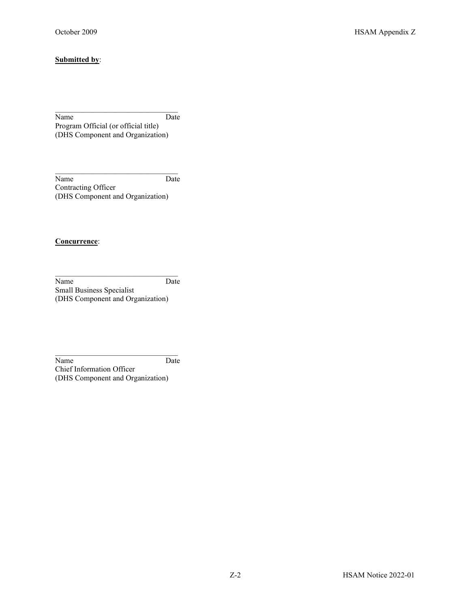#### **Submitted by**:

 $\mathcal{L}_\mathcal{L}$  , and the set of the set of the set of the set of the set of the set of the set of the set of the set of the set of the set of the set of the set of the set of the set of the set of the set of the set of th Name Date Program Official (or official title) (DHS Component and Organization)

Name Date Contracting Officer (DHS Component and Organization)

 $\mathcal{L}_\mathcal{L}$  , and the set of the set of the set of the set of the set of the set of the set of the set of the set of the set of the set of the set of the set of the set of the set of the set of the set of the set of th

#### **Concurrence**:

Name Date Small Business Specialist (DHS Component and Organization)

 $\mathcal{L}_\mathcal{L}$  , where  $\mathcal{L}_\mathcal{L}$  is the set of the set of the set of the set of the set of the set of the set of the set of the set of the set of the set of the set of the set of the set of the set of the set of the

 $\mathcal{L}_\mathcal{L}$  , where  $\mathcal{L}_\mathcal{L}$  is the set of the set of the set of the set of the set of the set of the set of the set of the set of the set of the set of the set of the set of the set of the set of the set of the Name Date

Chief Information Officer (DHS Component and Organization)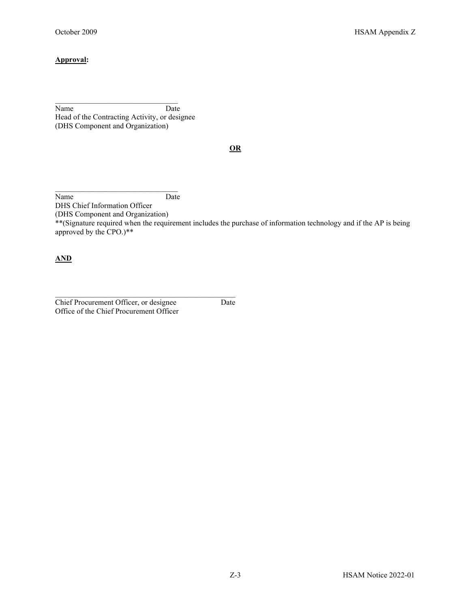#### **Approval:**

 $\mathcal{L}_\text{max}$  , and the set of the set of the set of the set of the set of the set of the set of the set of the set of the set of the set of the set of the set of the set of the set of the set of the set of the set of the Name Date Head of the Contracting Activity, or designee (DHS Component and Organization)

**OR**

 $\mathcal{L}_\text{max}$  , and the set of the set of the set of the set of the set of the set of the set of the set of the set of the set of the set of the set of the set of the set of the set of the set of the set of the set of the Name Date

DHS Chief Information Officer (DHS Component and Organization)

\*\*(Signature required when the requirement includes the purchase of information technology and if the AP is being approved by the CPO.)\*\*

**AND**

Chief Procurement Officer, or designee Date Office of the Chief Procurement Officer

 $\mathcal{L}_\text{max}$  and  $\mathcal{L}_\text{max}$  and  $\mathcal{L}_\text{max}$  and  $\mathcal{L}_\text{max}$  and  $\mathcal{L}_\text{max}$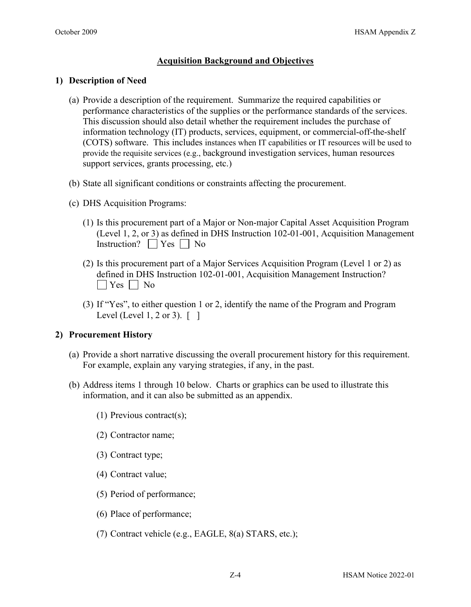## **Acquisition Background and Objectives**

#### **1) Description of Need**

- (a) Provide a description of the requirement. Summarize the required capabilities or performance characteristics of the supplies or the performance standards of the services. This discussion should also detail whether the requirement includes the purchase of information technology (IT) products, services, equipment, or commercial-off-the-shelf (COTS) software. This includes instances when IT capabilities or IT resources will be used to provide the requisite services (e.g., background investigation services, human resources support services, grants processing, etc.)
- (b) State all significant conditions or constraints affecting the procurement.
- (c) DHS Acquisition Programs:
	- (1) Is this procurement part of a Major or Non-major Capital Asset Acquisition Program (Level 1, 2, or 3) as defined in DHS Instruction 102-01-001, Acquisition Management Instruction?  $\Box$  Yes  $\Box$  No
	- (2) Is this procurement part of a Major Services Acquisition Program (Level 1 or 2) as defined in DHS Instruction 102-01-001, Acquisition Management Instruction?  $\Box$  Yes  $\Box$  No
	- (3) If "Yes", to either question 1 or 2, identify the name of the Program and Program Level (Level 1, 2 or 3). [ ]

#### **2) Procurement History**

- (a) Provide a short narrative discussing the overall procurement history for this requirement. For example, explain any varying strategies, if any, in the past.
- (b) Address items 1 through 10 below. Charts or graphics can be used to illustrate this information, and it can also be submitted as an appendix.
	- (1) Previous contract(s);
	- (2) Contractor name;
	- (3) Contract type;
	- (4) Contract value;
	- (5) Period of performance;
	- (6) Place of performance;
	- (7) Contract vehicle (e.g., EAGLE, 8(a) STARS, etc.);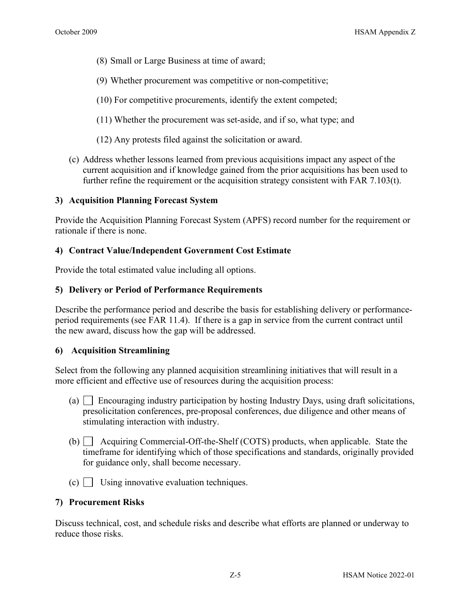- (8) Small or Large Business at time of award;
- (9) Whether procurement was competitive or non-competitive;
- (10) For competitive procurements, identify the extent competed;
- (11) Whether the procurement was set-aside, and if so, what type; and
- (12) Any protests filed against the solicitation or award.
- (c) Address whether lessons learned from previous acquisitions impact any aspect of the current acquisition and if knowledge gained from the prior acquisitions has been used to further refine the requirement or the acquisition strategy consistent with FAR 7.103(t).

#### **3) Acquisition Planning Forecast System**

Provide the Acquisition Planning Forecast System (APFS) record number for the requirement or rationale if there is none.

#### **4) Contract Value/Independent Government Cost Estimate**

Provide the total estimated value including all options.

#### **5) Delivery or Period of Performance Requirements**

Describe the performance period and describe the basis for establishing delivery or performanceperiod requirements (see [FAR 11.4\)](https://www.acquisition.gov/?q=/browse/far/11). If there is a gap in service from the current contract until the new award, discuss how the gap will be addressed.

#### **6) Acquisition Streamlining**

Select from the following any planned acquisition streamlining initiatives that will result in a more efficient and effective use of resources during the acquisition process:

- (a)  $\mid$  Encouraging industry participation by hosting Industry Days, using draft solicitations, presolicitation conferences, pre-proposal conferences, due diligence and other means of stimulating interaction with industry.
- (b) Acquiring Commercial-Off-the-Shelf (COTS) products, when applicable. State the timeframe for identifying which of those specifications and standards, originally provided for guidance only, shall become necessary.
- $(c)$  Using innovative evaluation techniques.

#### **7) Procurement Risks**

Discuss technical, cost, and schedule risks and describe what efforts are planned or underway to reduce those risks.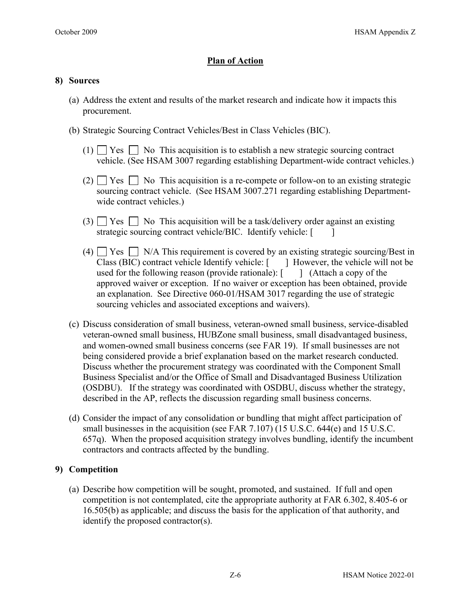## **Plan of Action**

#### **8) Sources**

- (a) Address the extent and results of the market research and indicate how it impacts this procurement.
- (b) Strategic Sourcing Contract Vehicles/Best in Class Vehicles (BIC).
	- $(1)$   $\Box$  Yes  $\Box$  No This acquisition is to establish a new strategic sourcing contract vehicle. (See HSAM 3007 regarding establishing Department-wide contract vehicles.)
	- $(2)$   $\Box$  Yes  $\Box$  No This acquisition is a re-compete or follow-on to an existing strategic sourcing contract vehicle. (See HSAM 3007.271 regarding establishing Departmentwide contract vehicles.)
	- $(3)$   $\Box$  Yes  $\Box$  No This acquisition will be a task/delivery order against an existing strategic sourcing contract vehicle/BIC. Identify vehicle: [ ]
	- $(4)$   $\Box$  Yes  $\Box$  N/A This requirement is covered by an existing strategic sourcing/Best in Class (BIC) contract vehicle Identify vehicle:  $\lceil \cdot \cdot \rceil$  However, the vehicle will not be used for the following reason (provide rationale):  $\begin{bmatrix} 1 \\ 1 \end{bmatrix}$  (Attach a copy of the approved waiver or exception. If no waiver or exception has been obtained, provide an explanation. See Directive 060-01/HSAM 3017 regarding the use of strategic sourcing vehicles and associated exceptions and waivers).
- (c) Discuss consideration of small business, veteran-owned small business, service-disabled veteran-owned small business, HUBZone small business, small disadvantaged business, and women-owned small business concerns (see FAR 19). If small businesses are not being considered provide a brief explanation based on the market research conducted. Discuss whether the procurement strategy was coordinated with the Component Small Business Specialist and/or the Office of Small and Disadvantaged Business Utilization (OSDBU). If the strategy was coordinated with OSDBU, discuss whether the strategy, described in the AP, reflects the discussion regarding small business concerns.
- (d) Consider the impact of any consolidation or bundling that might affect participation of small businesses in the acquisition (see FAR 7.107) (15 U.S.C. 644(e) and 15 U.S.C. 657q). When the proposed acquisition strategy involves bundling, identify the incumbent contractors and contracts affected by the bundling.

#### **9) Competition**

(a) Describe how competition will be sought, promoted, and sustained. If full and open competition is not contemplated, cite the appropriate authority at FAR 6.302, 8.405-6 or 16.505(b) as applicable; and discuss the basis for the application of that authority, and identify the proposed contractor(s).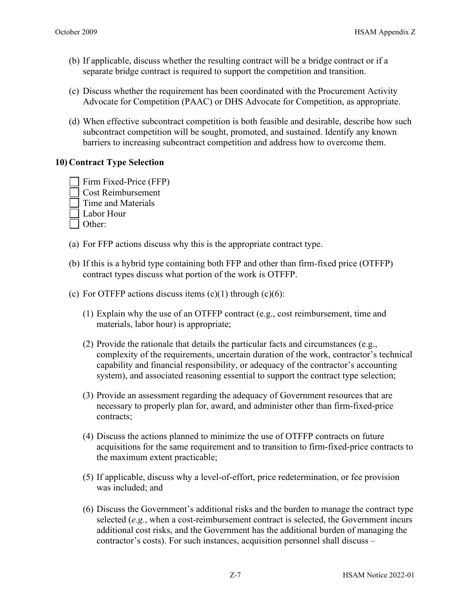- (b) If applicable, discuss whether the resulting contract will be a bridge contract or if a separate bridge contract is required to support the competition and transition.
- (c) Discuss whether the requirement has been coordinated with the Procurement Activity Advocate for Competition (PAAC) or DHS Advocate for Competition, as appropriate.
- (d) When effective subcontract competition is both feasible and desirable, describe how such subcontract competition will be sought, promoted, and sustained. Identify any known barriers to increasing subcontract competition and address how to overcome them.

## **10) Contract Type Selection**

- Firm Fixed-Price (FFP) Cost Reimbursement Time and Materials Labor Hour Other:
- (a) For FFP actions discuss why this is the appropriate contract type.
- (b) If this is a hybrid type containing both FFP and other than firm-fixed price (OTFFP) contract types discuss what portion of the work is OTFFP.
- (c) For OTFFP actions discuss items  $(c)(1)$  through  $(c)(6)$ :
	- (1) Explain why the use of an OTFFP contract (e.g., cost reimbursement, time and materials, labor hour) is appropriate;
	- (2) Provide the rationale that details the particular facts and circumstances (e.g., complexity of the requirements, uncertain duration of the work, contractor's technical capability and financial responsibility, or adequacy of the contractor's accounting system), and associated reasoning essential to support the contract type selection;
	- (3) Provide an assessment regarding the adequacy of Government resources that are necessary to properly plan for, award, and administer other than firm-fixed-price contracts;
	- (4) Discuss the actions planned to minimize the use of OTFFP contracts on future acquisitions for the same requirement and to transition to firm-fixed-price contracts to the maximum extent practicable;
	- (5) If applicable, discuss why a level-of-effort, price redetermination, or fee provision was included; and
	- (6) Discuss the Government's additional risks and the burden to manage the contract type selected (*e.g.*, when a cost-reimbursement contract is selected, the Government incurs additional cost risks, and the Government has the additional burden of managing the contractor's costs). For such instances, acquisition personnel shall discuss –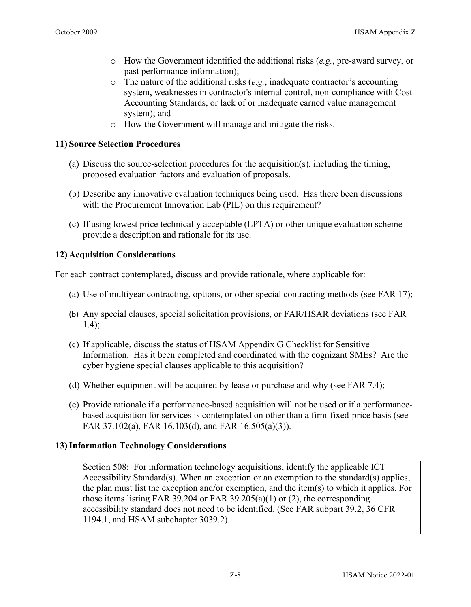- o How the Government identified the additional risks (*e.g.*, pre-award survey, or past performance information);
- o The nature of the additional risks (*e.g.*, inadequate contractor's accounting system, weaknesses in contractor's internal control, non-compliance with Cost Accounting Standards, or lack of or inadequate earned value management system); and
- o How the Government will manage and mitigate the risks.

## **11) Source Selection Procedures**

- (a) Discuss the source-selection procedures for the acquisition(s), including the timing, proposed evaluation factors and evaluation of proposals.
- (b) Describe any innovative evaluation techniques being used. Has there been discussions with the Procurement Innovation Lab (PIL) on this requirement?
- (c) If using lowest price technically acceptable (LPTA) or other unique evaluation scheme provide a description and rationale for its use.

## **12) Acquisition Considerations**

For each contract contemplated, discuss and provide rationale, where applicable for:

- (a) Use of multiyear contracting, options, or other special contracting methods (see FAR 17);
- (b) Any special clauses, special solicitation provisions, or FAR/HSAR deviations (see FAR 1.4);
- (c) If applicable, discuss the status of HSAM Appendix G Checklist for Sensitive Information. Has it been completed and coordinated with the cognizant SMEs? Are the cyber hygiene special clauses applicable to this acquisition?
- (d) Whether equipment will be acquired by lease or purchase and why (see FAR 7.4);
- (e) Provide rationale if a performance-based acquisition will not be used or if a performancebased acquisition for services is contemplated on other than a firm-fixed-price basis (see FAR 37.102(a), FAR 16.103(d), and FAR 16.505(a)(3)).

## **13)Information Technology Considerations**

Section 508: For information technology acquisitions, identify the applicable ICT Accessibility Standard(s). When an exception or an exemption to the standard(s) applies, the plan must list the exception and/or exemption, and the item(s) to which it applies. For those items listing FAR 39.204 or FAR 39.205(a)(1) or (2), the corresponding accessibility standard does not need to be identified. (See FAR subpart 39.2, 36 CFR 1194.1, and HSAM subchapter 3039.2).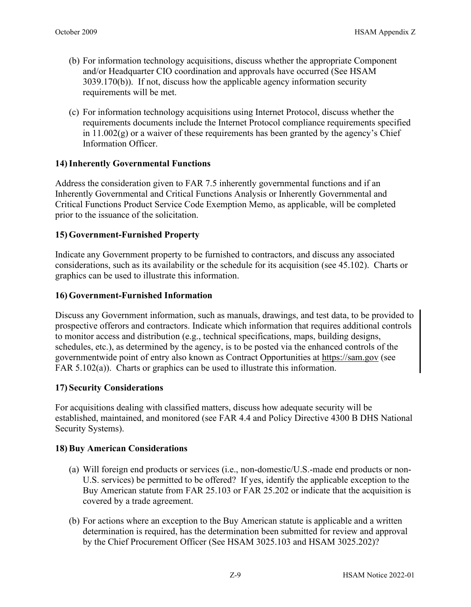- (b) For information technology acquisitions, discuss whether the appropriate Component and/or Headquarter CIO coordination and approvals have occurred (See HSAM 3039.170(b)). If not, discuss how the applicable agency information security requirements will be met.
- (c) For information technology acquisitions using Internet Protocol, discuss whether the requirements documents include the Internet Protocol compliance requirements specified in  $11.002(g)$  or a waiver of these requirements has been granted by the agency's Chief Information Officer.

## **14)Inherently Governmental Functions**

Address the consideration given to FAR 7.5 inherently governmental functions and if an Inherently Governmental and Critical Functions Analysis or Inherently Governmental and Critical Functions Product Service Code Exemption Memo, as applicable, will be completed prior to the issuance of the solicitation.

## **15) Government-Furnished Property**

Indicate any Government property to be furnished to contractors, and discuss any associated considerations, such as its availability or the schedule for its acquisition (see 45.102). Charts or graphics can be used to illustrate this information.

## **16) Government-Furnished Information**

Discuss any Government information, such as manuals, drawings, and test data, to be provided to prospective offerors and contractors. Indicate which information that requires additional controls to monitor access and distribution (e.g., technical specifications, maps, building designs, schedules, etc.), as determined by the agency, is to be posted via the enhanced controls of the governmentwide point of entry also known as Contract Opportunities at [https://sam.gov](https://sam.gov/content/home) (see FAR 5.102(a)). Charts or graphics can be used to illustrate this information.

## **17) Security Considerations**

For acquisitions dealing with classified matters, discuss how adequate security will be established, maintained, and monitored (see FAR 4.4 and Policy Directive 4300 B DHS National Security Systems).

## **18) Buy American Considerations**

- (a) Will foreign end products or services (i.e., non-domestic/U.S.-made end products or non-U.S. services) be permitted to be offered? If yes, identify the applicable exception to the Buy American statute from FAR 25.103 or FAR 25.202 or indicate that the acquisition is covered by a trade agreement.
- (b) For actions where an exception to the Buy American statute is applicable and a written determination is required, has the determination been submitted for review and approval by the Chief Procurement Officer (See HSAM 3025.103 and HSAM 3025.202)?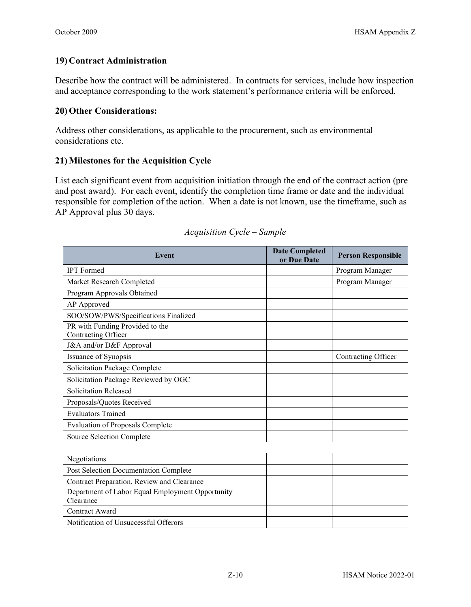### **19) Contract Administration**

Describe how the contract will be administered. In contracts for services, include how inspection and acceptance corresponding to the work statement's performance criteria will be enforced.

### **20) Other Considerations:**

Address other considerations, as applicable to the procurement, such as environmental considerations etc.

## **21) Milestones for the Acquisition Cycle**

List each significant event from acquisition initiation through the end of the contract action (pre and post award). For each event, identify the completion time frame or date and the individual responsible for completion of the action. When a date is not known, use the timeframe, such as AP Approval plus 30 days.

| Event                                                         | <b>Date Completed</b><br>or Due Date | <b>Person Responsible</b> |
|---------------------------------------------------------------|--------------------------------------|---------------------------|
| <b>IPT</b> Formed                                             |                                      | Program Manager           |
| Market Research Completed                                     |                                      | Program Manager           |
| Program Approvals Obtained                                    |                                      |                           |
| AP Approved                                                   |                                      |                           |
| SOO/SOW/PWS/Specifications Finalized                          |                                      |                           |
| PR with Funding Provided to the<br>Contracting Officer        |                                      |                           |
| J&A and/or D&F Approval                                       |                                      |                           |
| Issuance of Synopsis                                          |                                      | Contracting Officer       |
| <b>Solicitation Package Complete</b>                          |                                      |                           |
| Solicitation Package Reviewed by OGC                          |                                      |                           |
| <b>Solicitation Released</b>                                  |                                      |                           |
| Proposals/Quotes Received                                     |                                      |                           |
| <b>Evaluators Trained</b>                                     |                                      |                           |
| <b>Evaluation of Proposals Complete</b>                       |                                      |                           |
| Source Selection Complete                                     |                                      |                           |
|                                                               |                                      |                           |
| Negotiations                                                  |                                      |                           |
| Post Selection Documentation Complete                         |                                      |                           |
| Contract Preparation, Review and Clearance                    |                                      |                           |
| Department of Labor Equal Employment Opportunity<br>Clearance |                                      |                           |
| Contract Award                                                |                                      |                           |
| Notification of Unsuccessful Offerors                         |                                      |                           |

#### *Acquisition Cycle – Sample*